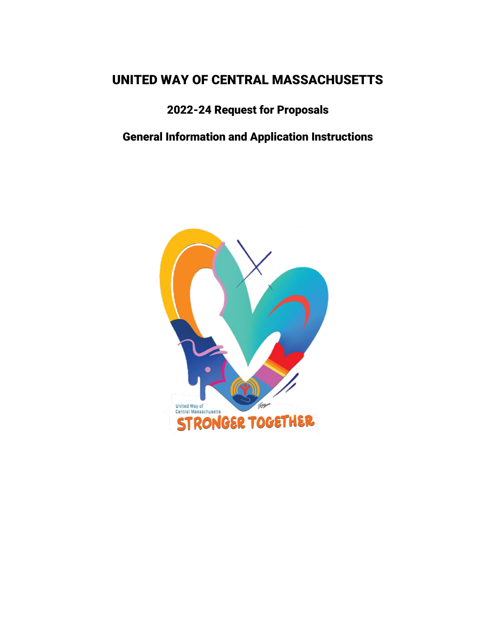# UNITED WAY OF CENTRAL MASSACHUSETTS

# 2022-24 Request for Proposals

# General Information and Application Instructions

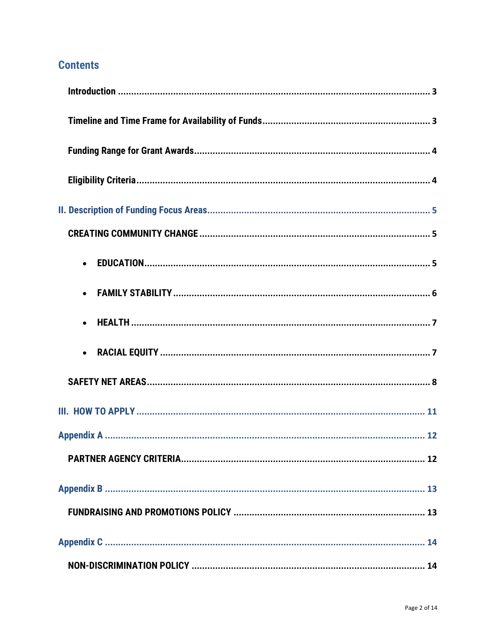## **Contents**

| $\bullet$ |
|-----------|
|           |
|           |
|           |
|           |
|           |
|           |
|           |
|           |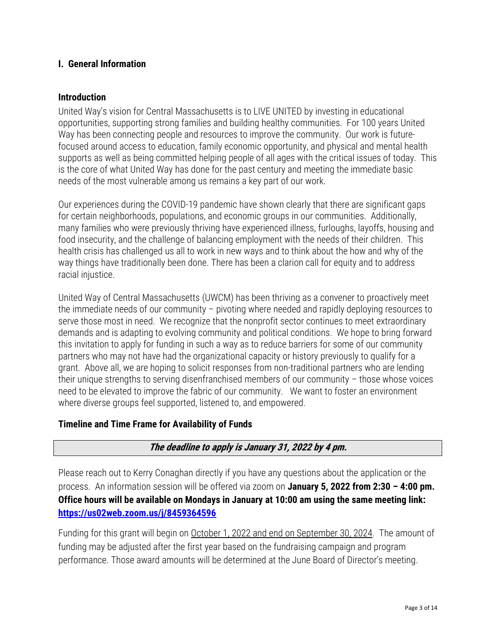#### **I. General Information**

#### <span id="page-2-0"></span>**Introduction**

United Way's vision for Central Massachusetts is to LIVE UNITED by investing in educational opportunities, supporting strong families and building healthy communities. For 100 years United Way has been connecting people and resources to improve the community. Our work is futurefocused around access to education, family economic opportunity, and physical and mental health supports as well as being committed helping people of all ages with the critical issues of today. This is the core of what United Way has done for the past century and meeting the immediate basic needs of the most vulnerable among us remains a key part of our work.

Our experiences during the COVID-19 pandemic have shown clearly that there are significant gaps for certain neighborhoods, populations, and economic groups in our communities. Additionally, many families who were previously thriving have experienced illness, furloughs, layoffs, housing and food insecurity, and the challenge of balancing employment with the needs of their children. This health crisis has challenged us all to work in new ways and to think about the how and why of the way things have traditionally been done. There has been a clarion call for equity and to address racial injustice.

United Way of Central Massachusetts (UWCM) has been thriving as a convener to proactively meet the immediate needs of our community – pivoting where needed and rapidly deploying resources to serve those most in need. We recognize that the nonprofit sector continues to meet extraordinary demands and is adapting to evolving community and political conditions. We hope to bring forward this invitation to apply for funding in such a way as to reduce barriers for some of our community partners who may not have had the organizational capacity or history previously to qualify for a grant. Above all, we are hoping to solicit responses from non-traditional partners who are lending their unique strengths to serving disenfranchised members of our community – those whose voices need to be elevated to improve the fabric of our community. We want to foster an environment where diverse groups feel supported, listened to, and empowered.

#### <span id="page-2-1"></span>**Timeline and Time Frame for Availability of Funds**

## **The deadline to apply is January 31, 2022 by 4 pm.**

Please reach out to Kerry Conaghan directly if you have any questions about the application or the process. An information session will be offered via zoom on January 5, 2022 from 2:30 - 4:00 pm. Office hours will be available on Mondays in January at 10:00 am using the same meeting link: <https://us02web.zoom.us/j/8459364596>

Funding for this grant will begin on October 1, 2022 and end on September 30, 2024. The amount of funding may be adjusted after the first year based on the fundraising campaign and program performance. Those award amounts will be determined at the June Board of Director's meeting.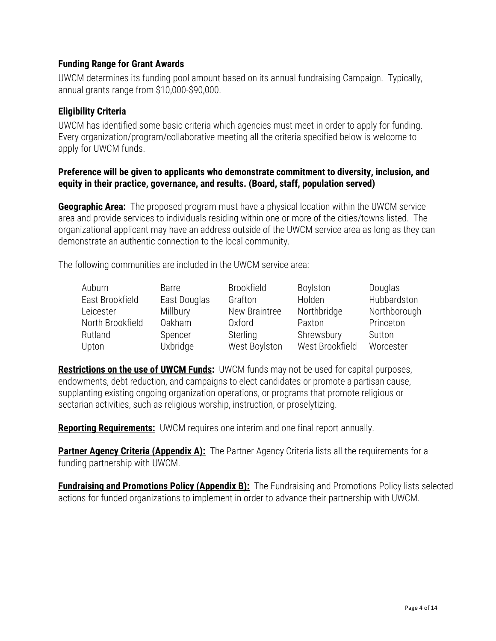#### <span id="page-3-0"></span>**Funding Range for Grant Awards**

UWCM determines its funding pool amount based on its annual fundraising Campaign. Typically, annual grants range from \$10,000-\$90,000.

#### <span id="page-3-1"></span>**Eligibility Criteria**

UWCM has identified some basic criteria which agencies must meet in order to apply for funding. Every organization/program/collaborative meeting all the criteria specified below is welcome to apply for UWCM funds.

#### Preference will be given to applicants who demonstrate commitment to diversity, inclusion, and equity in their practice, governance, and results. (Board, staff, population served)

**Geographic Area:** The proposed program must have a physical location within the UWCM service area and provide services to individuals residing within one or more of the cities/towns listed. The organizational applicant may have an address outside of the UWCM service area as long as they can demonstrate an authentic connection to the local community.

The following communities are included in the UWCM service area:

| Auburn           | <b>Barre</b>  | <b>Brookfield</b> | Boylston        | Douglas      |
|------------------|---------------|-------------------|-----------------|--------------|
| East Brookfield  | East Douglas  | Grafton           | Holden          | Hubbardston  |
| Leicester        | Millbury      | New Braintree     | Northbridge     | Northborough |
| North Brookfield | <b>Oakham</b> | Oxford            | Paxton          | Princeton    |
| Rutland          | Spencer       | Sterling          | Shrewsbury      | Sutton       |
| Upton            | Uxbridge      | West Boylston     | West Brookfield | Worcester    |

Restrictions on the use of UWCM Funds: UWCM funds may not be used for capital purposes, endowments, debt reduction, and campaigns to elect candidates or promote a partisan cause, supplanting existing ongoing organization operations, or programs that promote religious or sectarian activities, such as religious worship, instruction, or proselytizing.

**Reporting Requirements:** UWCM requires one interim and one final report annually.

**Partner Agency Criteria (Appendix A):** The Partner Agency Criteria lists all the requirements for a funding partnership with UWCM.

**Fundraising and Promotions Policy (Appendix B):** The Fundraising and Promotions Policy lists selected actions for funded organizations to implement in order to advance their partnership with UWCM.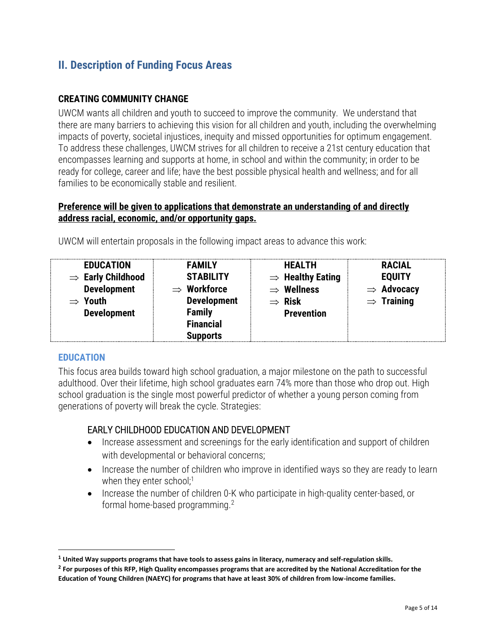## <span id="page-4-0"></span>II. Description of Funding Focus Areas

### <span id="page-4-1"></span>**CREATING COMMUNITY CHANGE**

UWCM wants all children and youth to succeed to improve the community. We understand that there are many barriers to achieving this vision for all children and youth, including the overwhelming impacts of poverty, societal injustices, inequity and missed opportunities for optimum engagement. To address these challenges, UWCM strives for all children to receive a 21st century education that encompasses learning and supports at home, in school and within the community; in order to be ready for college, career and life; have the best possible physical health and wellness; and for all families to be economically stable and resilient.

#### **Preference will be given to applications that demonstrate an understanding of and directly address racial, economic, and/or opportunity gaps.**

| <b>EDUCATION</b><br>$\Rightarrow$ Early Childhood<br><b>Development</b><br>$\Rightarrow$ Youth<br><b>Development</b> | <b>FAMILY</b><br><b>STABILITY</b><br>$\Rightarrow$ Workforce<br><b>Development</b><br><b>Family</b><br><b>Financial</b><br><b>Supports</b> | <b>HEALTH</b><br>$\Rightarrow$ Healthy Eating<br>$\Rightarrow$ Wellness<br>$\Rightarrow$ Risk<br><b>Prevention</b> | <b>RACIAL</b><br><b>EQUITY</b><br>$\Rightarrow$ Advocacy<br>$\Rightarrow$ Training |
|----------------------------------------------------------------------------------------------------------------------|--------------------------------------------------------------------------------------------------------------------------------------------|--------------------------------------------------------------------------------------------------------------------|------------------------------------------------------------------------------------|
|----------------------------------------------------------------------------------------------------------------------|--------------------------------------------------------------------------------------------------------------------------------------------|--------------------------------------------------------------------------------------------------------------------|------------------------------------------------------------------------------------|

UWCM will entertain proposals in the following impact areas to advance this work:

#### <span id="page-4-2"></span>**EDUCATION**

This focus area builds toward high school graduation, a major milestone on the path to successful adulthood. Over their lifetime, high school graduates earn 74% more than those who drop out. High school graduation is the single most powerful predictor of whether a young person coming from generations of poverty will break the cycle. Strategies:

## EARLY CHILDHOOD EDUCATION AND DEVELOPMENT

- Increase assessment and screenings for the early identification and support of children with developmental or behavioral concerns;
- Increase the number of children who improve in identified ways so they are ready to learn when they enter school; $1$
- Increase the number of children 0-K who participate in high-quality center-based, or formal home-based programming.<sup>2</sup>

**<sup>1</sup> United Way supports programs that have tools to assess gains in literacy, numeracy and self-regulation skills.**

**<sup>2</sup> For purposes of this RFP, High Quality encompasses programs that are accredited by the National Accreditation for the Education of Young Children (NAEYC) for programs that have at least 30% of children from low-income families.**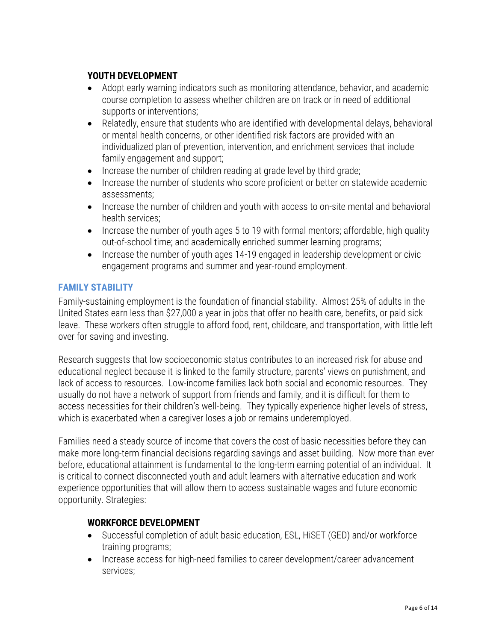## **YOUTH DEVELOPMENT**

- Adopt early warning indicators such as monitoring attendance, behavior, and academic course completion to assess whether children are on track or in need of additional supports or interventions;
- Relatedly, ensure that students who are identified with developmental delays, behavioral or mental health concerns, or other identified risk factors are provided with an individualized plan of prevention, intervention, and enrichment services that include family engagement and support;
- Increase the number of children reading at grade level by third grade;
- Increase the number of students who score proficient or better on statewide academic assessments;
- Increase the number of children and youth with access to on-site mental and behavioral health services;
- Increase the number of youth ages 5 to 19 with formal mentors; affordable, high quality out-of-school time; and academically enriched summer learning programs;
- Increase the number of youth ages 14-19 engaged in leadership development or civic engagement programs and summer and year-round employment.

#### <span id="page-5-0"></span>FAMILY STABILITY

Family-sustaining employment is the foundation of financial stability. Almost 25% of adults in the United States earn less than \$27,000 a year in jobs that offer no health care, benefits, or paid sick leave. These workers often struggle to afford food, rent, childcare, and transportation, with little left over for saving and investing.

Research suggests that low socioeconomic status contributes to an increased risk for abuse and educational neglect because it is linked to the family structure, parents' views on punishment, and lack of access to resources. Low-income families lack both social and economic resources. They usually do not have a network of support from friends and family, and it is difficult for them to access necessities for their children's well-being. They typically experience higher levels of stress, which is exacerbated when a caregiver loses a job or remains underemployed.

Families need a steady source of income that covers the cost of basic necessities before they can make more long-term financial decisions regarding savings and asset building. Now more than ever before, educational attainment is fundamental to the long-term earning potential of an individual. It is critical to connect disconnected youth and adult learners with alternative education and work experience opportunities that will allow them to access sustainable wages and future economic opportunity. Strategies:

#### **WORKFORCE DEVELOPMENT**

- Successful completion of adult basic education, ESL, HiSET (GED) and/or workforce training programs;
- Increase access for high-need families to career development/career advancement services;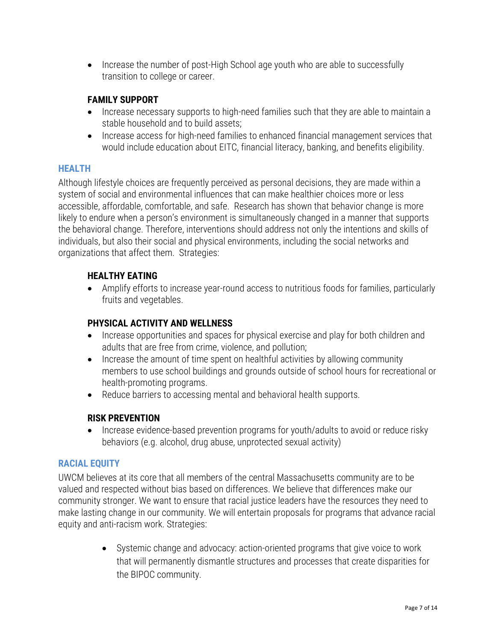• Increase the number of post-High School age youth who are able to successfully transition to college or career.

## **FAMILY SUPPORT**

- Increase necessary supports to high-need families such that they are able to maintain a stable household and to build assets;
- Increase access for high-need families to enhanced financial management services that would include education about EITC, financial literacy, banking, and benefits eligibility.

#### <span id="page-6-0"></span>HEALTH

Although lifestyle choices are frequently perceived as personal decisions, they are made within a system of social and environmental influences that can make healthier choices more or less accessible, affordable, comfortable, and safe. Research has shown that behavior change is more likely to endure when a person's environment is simultaneously changed in a manner that supports the behavioral change. Therefore, interventions should address not only the intentions and skills of individuals, but also their social and physical environments, including the social networks and organizations that affect them. Strategies:

## **HEALTHY EATING**

• Amplify efforts to increase year-round access to nutritious foods for families, particularly fruits and vegetables.

## **PHYSICAL ACTIVITY AND WELLNESS**

- Increase opportunities and spaces for physical exercise and play for both children and adults that are free from crime, violence, and pollution;
- Increase the amount of time spent on healthful activities by allowing community members to use school buildings and grounds outside of school hours for recreational or health-promoting programs.
- Reduce barriers to accessing mental and behavioral health supports.

## **RISK PREVENTION**

• Increase evidence-based prevention programs for youth/adults to avoid or reduce risky behaviors (e.g. alcohol, drug abuse, unprotected sexual activity)

#### <span id="page-6-1"></span>RACIAL EQUITY

UWCM believes at its core that all members of the central Massachusetts community are to be valued and respected without bias based on differences. We believe that differences make our community stronger. We want to ensure that racial justice leaders have the resources they need to make lasting change in our community. We will entertain proposals for programs that advance racial equity and anti-racism work. Strategies:

> • Systemic change and advocacy: action-oriented programs that give voice to work that will permanently dismantle structures and processes that create disparities for the BIPOC community.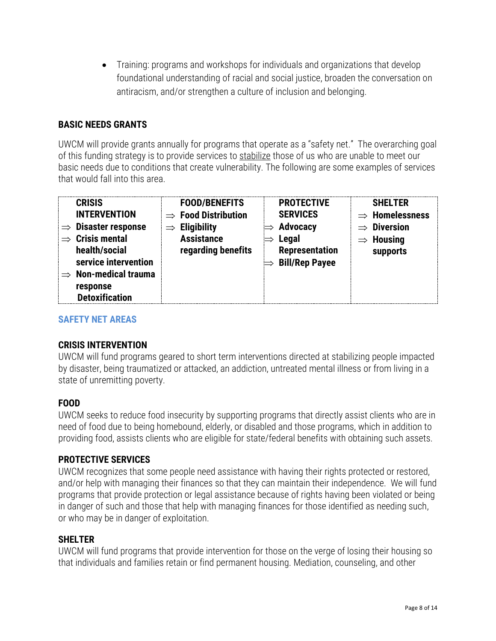• Training: programs and workshops for individuals and organizations that develop foundational understanding of racial and social justice, broaden the conversation on antiracism, and/or strengthen a culture of inclusion and belonging.

### **BASIC NEEDS GRANTS**

UWCM will provide grants annually for programs that operate as a "safety net." The overarching goal of this funding strategy is to provide services to stabilize those of us who are unable to meet our basic needs due to conditions that create vulnerability. The following are some examples of services that would fall into this area.

| <b>CRISIS</b><br><b>FOOD/BENEFITS</b><br><b>INTERVENTION</b><br>$\Rightarrow$ Food Distribution<br><b>Disaster response</b><br><b>Eligibility</b><br>$\Rightarrow$<br>$\Rightarrow$<br><b>Crisis mental</b><br><b>Assistance</b><br>regarding benefits<br>health/social<br>service intervention<br><b>Non-medical trauma</b><br>$\Rightarrow$<br>response<br><b>Detoxification</b> | <b>PROTECTIVE</b><br><b>SHELTER</b><br><b>SERVICES</b><br>$\Rightarrow$ Homelessness<br><b>Advocacy</b><br>$\Rightarrow$ Diversion<br>Legal<br><b>Housing</b><br><b>Representation</b><br>supports<br><b>Bill/Rep Payee</b> |
|------------------------------------------------------------------------------------------------------------------------------------------------------------------------------------------------------------------------------------------------------------------------------------------------------------------------------------------------------------------------------------|-----------------------------------------------------------------------------------------------------------------------------------------------------------------------------------------------------------------------------|
|------------------------------------------------------------------------------------------------------------------------------------------------------------------------------------------------------------------------------------------------------------------------------------------------------------------------------------------------------------------------------------|-----------------------------------------------------------------------------------------------------------------------------------------------------------------------------------------------------------------------------|

#### <span id="page-7-0"></span>SAFETY NET AREAS

#### **CRISIS INTERVENTION**

UWCM will fund programs geared to short term interventions directed at stabilizing people impacted by disaster, being traumatized or attacked, an addiction, untreated mental illness or from living in a state of unremitting poverty.

#### **FOOD**

UWCM seeks to reduce food insecurity by supporting programs that directly assist clients who are in need of food due to being homebound, elderly, or disabled and those programs, which in addition to providing food, assists clients who are eligible for state/federal benefits with obtaining such assets.

#### **PROTECTIVE SERVICES**

UWCM recognizes that some people need assistance with having their rights protected or restored, and/or help with managing their finances so that they can maintain their independence. We will fund programs that provide protection or legal assistance because of rights having been violated or being in danger of such and those that help with managing finances for those identified as needing such, or who may be in danger of exploitation.

#### **SHELTER**

UWCM will fund programs that provide intervention for those on the verge of losing their housing so that individuals and families retain or find permanent housing. Mediation, counseling, and other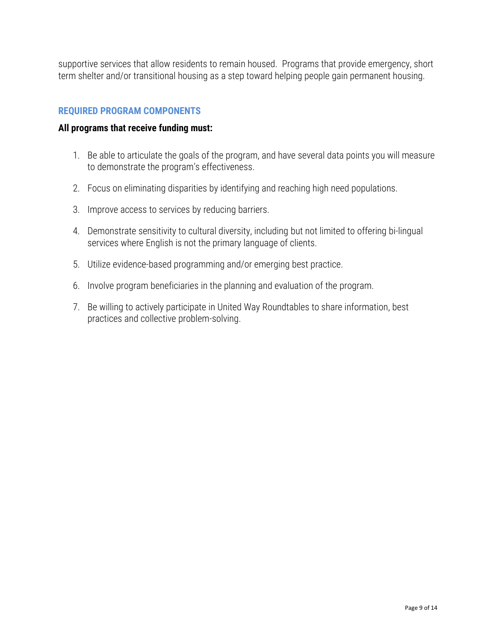supportive services that allow residents to remain housed. Programs that provide emergency, short term shelter and/or transitional housing as a step toward helping people gain permanent housing.

#### **REQUIRED PROGRAM COMPONENTS**

#### All programs that receive funding must:

- 1. Be able to articulate the goals of the program, and have several data points you will measure to demonstrate the program's effectiveness.
- 2. Focus on eliminating disparities by identifying and reaching high need populations.
- 3. Improve access to services by reducing barriers.
- 4. Demonstrate sensitivity to cultural diversity, including but not limited to offering bi-lingual services where English is not the primary language of clients.
- 5. Utilize evidence-based programming and/or emerging best practice.
- 6. Involve program beneficiaries in the planning and evaluation of the program.
- 7. Be willing to actively participate in United Way Roundtables to share information, best practices and collective problem-solving.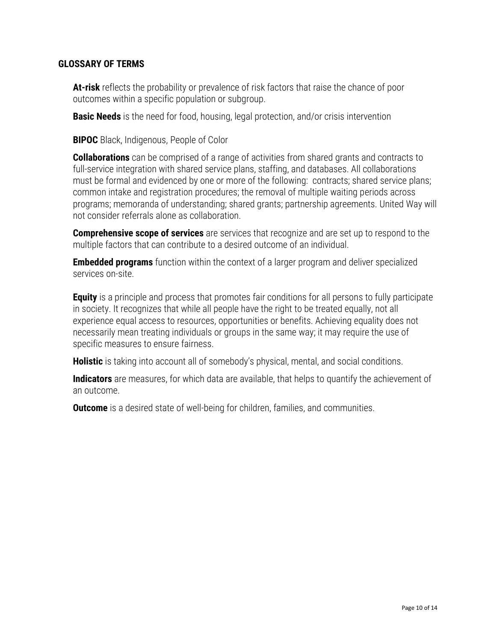#### **GLOSSARY OF TERMS**

**At-risk** reflects the probability or prevalence of risk factors that raise the chance of poor outcomes within a specific population or subgroup.

**Basic Needs** is the need for food, housing, legal protection, and/or crisis intervention

**BIPOC** Black, Indigenous, People of Color

**Collaborations** can be comprised of a range of activities from shared grants and contracts to full-service integration with shared service plans, staffing, and databases. All collaborations must be formal and evidenced by one or more of the following: contracts; shared service plans; common intake and registration procedures; the removal of multiple waiting periods across programs; memoranda of understanding; shared grants; partnership agreements. United Way will not consider referrals alone as collaboration.

**Comprehensive scope of services** are services that recognize and are set up to respond to the multiple factors that can contribute to a desired outcome of an individual.

**Embedded** programs function within the context of a larger program and deliver specialized services on-site.

**Equity** is a principle and process that promotes fair conditions for all persons to fully participate in society. It recognizes that while all people have the right to be treated equally, not all experience equal access to resources, opportunities or benefits. Achieving equality does not necessarily mean treating individuals or groups in the same way; it may require the use of specific measures to ensure fairness.

**Holistic** is taking into account all of somebody's physical, mental, and social conditions.

**Indicators** are measures, for which data are available, that helps to quantify the achievement of an outcome.

**Outcome** is a desired state of well-being for children, families, and communities.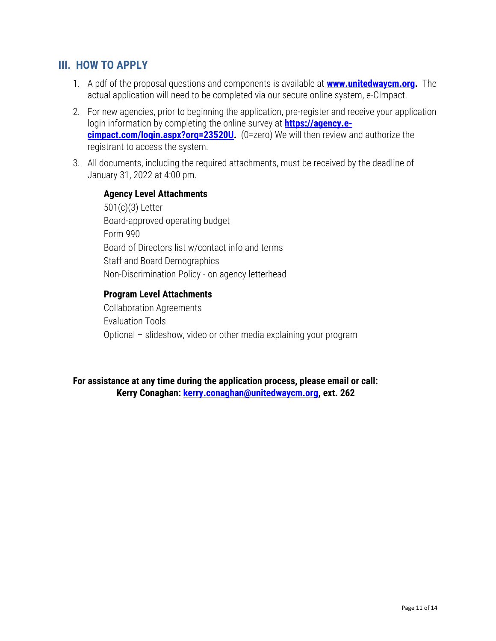## <span id="page-10-0"></span>**III. HOW TO APPLY**

- 1. A pdf of the proposal questions and components is available at **[www.unitedwaycm.org.](http://www.unitedwaycm.org/)** The actual application will need to be completed via our secure online system, e-CImpact.
- 2. For new agencies, prior to beginning the application, pre-register and receive your application login information by completing the online survey at **https://agency.e**cimpact.com/login.aspx?org=23520U. (0=zero) We will then review and authorize the registrant to access the system.
- 3. All documents, including the required attachments, must be received by the deadline of January 31, 2022 at 4:00 pm.

#### **Agency Level Attachments**

501(c)(3) Letter Board-approved operating budget Form 990 Board of Directors list w/contact info and terms Staff and Board Demographics Non-Discrimination Policy - on agency letterhead

#### **Program Level Attachments**

Collaboration Agreements Evaluation Tools Optional – slideshow, video or other media explaining your program

For assistance at any time during the application process, please email or call: Kerry Conaghan: [kerry.conaghan@unitedwaycm.org,](mailto:kerry.conaghan@unitedwaycm.org) ext. 262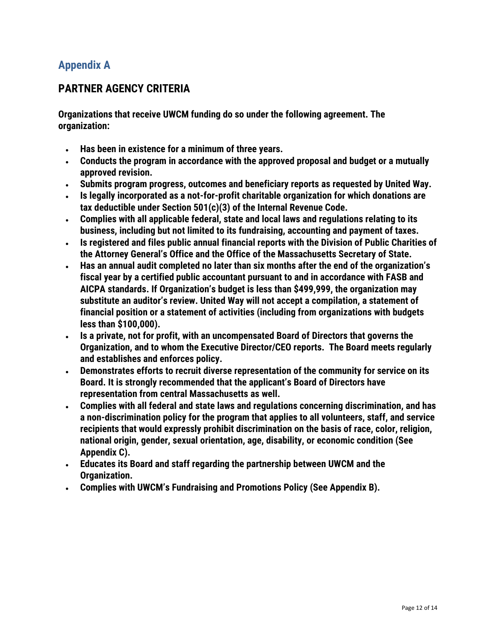## <span id="page-11-0"></span>Appendix A

## <span id="page-11-1"></span>**PARTNER AGENCY CRITERIA**

Organizations that receive UWCM funding do so under the following agreement. The organization:

- Has been in existence for a minimum of three years.
- Conducts the program in accordance with the approved proposal and budget or a mutually approved revision.
- Submits program progress, outcomes and beneficiary reports as requested by United Way.
- Is legally incorporated as a not-for-profit charitable organization for which donations are tax deductible under Section 501(c)(3) of the Internal Revenue Code.
- Complies with all applicable federal, state and local laws and regulations relating to its business, including but not limited to its fundraising, accounting and payment of taxes.
- Is registered and files public annual financial reports with the Division of Public Charities of the Attorney General's Office and the Office of the Massachusetts Secretary of State.
- Has an annual audit completed no later than six months after the end of the organization's fiscal year by a certified public accountant pursuant to and in accordance with FASB and AICPA standards. If Organization's budget is less than \$499,999, the organization may substitute an auditor's review. United Way will not accept a compilation, a statement of financial position or a statement of activities (including from organizations with budgets less than \$100,000).
- Is a private, not for profit, with an uncompensated Board of Directors that governs the Organization, and to whom the Executive Director/CEO reports. The Board meets regularly and establishes and enforces policy.
- Demonstrates efforts to recruit diverse representation of the community for service on its Board. It is strongly recommended that the applicant's Board of Directors have representation from central Massachusetts as well.
- Complies with all federal and state laws and regulations concerning discrimination, and has a non-discrimination policy for the program that applies to all volunteers, staff, and service recipients that would expressly prohibit discrimination on the basis of race, color, religion, national origin, gender, sexual orientation, age, disability, or economic condition (See Appendix C).
- Educates its Board and staff regarding the partnership between UWCM and the Organization.
- Complies with UWCM's Fundraising and Promotions Policy (See Appendix B).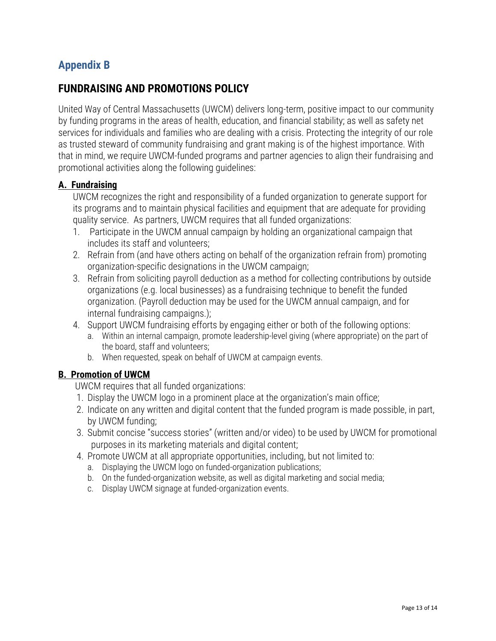## <span id="page-12-0"></span>Appendix B

## <span id="page-12-1"></span>**FUNDRAISING AND PROMOTIONS POLICY**

United Way of Central Massachusetts (UWCM) delivers long-term, positive impact to our community by funding programs in the areas of health, education, and financial stability; as well as safety net services for individuals and families who are dealing with a crisis. Protecting the integrity of our role as trusted steward of community fundraising and grant making is of the highest importance. With that in mind, we require UWCM-funded programs and partner agencies to align their fundraising and promotional activities along the following guidelines:

#### **A. Fundraising**

UWCM recognizes the right and responsibility of a funded organization to generate support for its programs and to maintain physical facilities and equipment that are adequate for providing quality service. As partners, UWCM requires that all funded organizations:

- 1. Participate in the UWCM annual campaign by holding an organizational campaign that includes its staff and volunteers;
- 2. Refrain from (and have others acting on behalf of the organization refrain from) promoting organization-specific designations in the UWCM campaign;
- 3. Refrain from soliciting payroll deduction as a method for collecting contributions by outside organizations (e.g. local businesses) as a fundraising technique to benefit the funded organization. (Payroll deduction may be used for the UWCM annual campaign, and for internal fundraising campaigns.);
- 4. Support UWCM fundraising efforts by engaging either or both of the following options:
	- a. Within an internal campaign, promote leadership-level giving (where appropriate) on the part of the board, staff and volunteers;
	- b. When requested, speak on behalf of UWCM at campaign events.

#### **B. Promotion of UWCM**

UWCM requires that all funded organizations:

- 1. Display the UWCM logo in a prominent place at the organization's main office;
- 2. Indicate on any written and digital content that the funded program is made possible, in part, by UWCM funding;
- 3. Submit concise "success stories" (written and/or video) to be used by UWCM for promotional purposes in its marketing materials and digital content;
- 4. Promote UWCM at all appropriate opportunities, including, but not limited to:
	- a. Displaying the UWCM logo on funded-organization publications;
	- b. On the funded-organization website, as well as digital marketing and social media;
	- c. Display UWCM signage at funded-organization events.